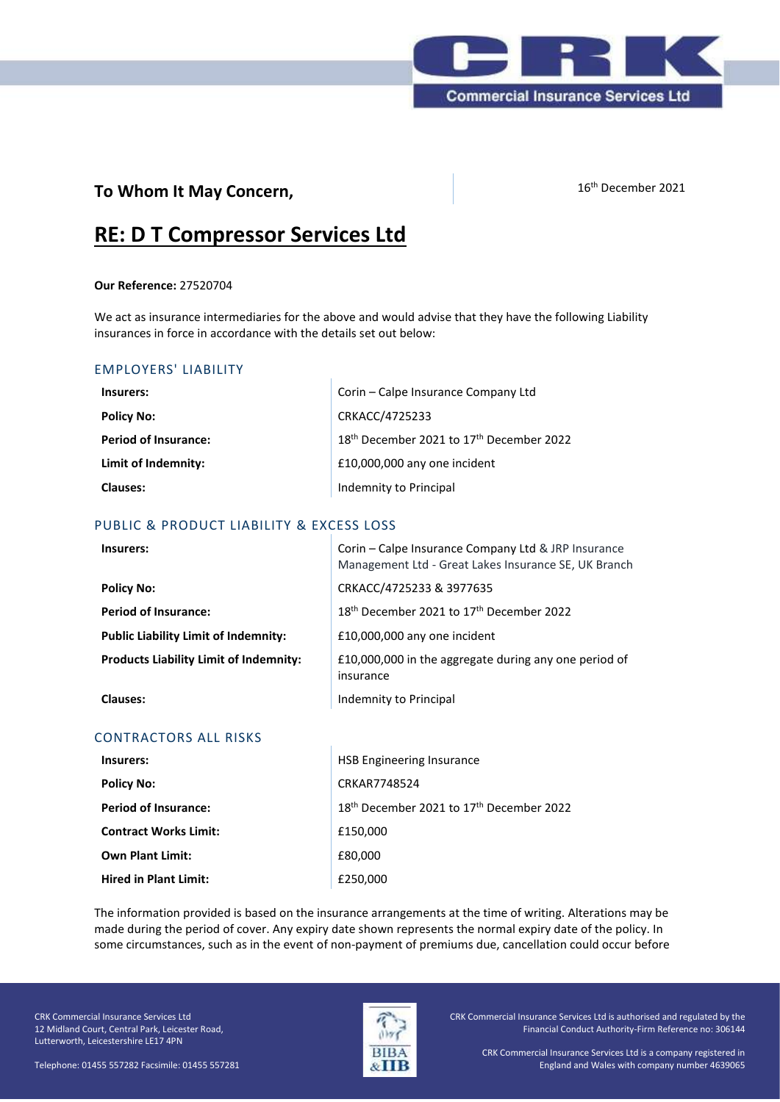

## **To Whom It May Concern,** 16th December 2021

# **RE: D T Compressor Services Ltd**

#### **Our Reference:** 27520704

We act as insurance intermediaries for the above and would advise that they have the following Liability insurances in force in accordance with the details set out below:

### EMPLOYERS' LIABILITY

| Insurers:                   | Corin – Calpe Insurance Company Ltd                              |
|-----------------------------|------------------------------------------------------------------|
| <b>Policy No:</b>           | CRKACC/4725233                                                   |
| <b>Period of Insurance:</b> | 18 <sup>th</sup> December 2021 to 17 <sup>th</sup> December 2022 |
| Limit of Indemnity:         | £10,000,000 any one incident                                     |
| Clauses:                    | Indemnity to Principal                                           |

#### PUBLIC & PRODUCT LIABILITY & EXCESS LOSS

| Insurers:                                     | Corin – Calpe Insurance Company Ltd & JRP Insurance<br>Management Ltd - Great Lakes Insurance SE, UK Branch |
|-----------------------------------------------|-------------------------------------------------------------------------------------------------------------|
| <b>Policy No:</b>                             | CRKACC/4725233 & 3977635                                                                                    |
| <b>Period of Insurance:</b>                   | 18 <sup>th</sup> December 2021 to 17 <sup>th</sup> December 2022                                            |
| <b>Public Liability Limit of Indemnity:</b>   | £10,000,000 any one incident                                                                                |
| <b>Products Liability Limit of Indemnity:</b> | £10,000,000 in the aggregate during any one period of<br>insurance                                          |
| <b>Clauses:</b>                               | Indemnity to Principal                                                                                      |

#### CONTRACTORS ALL RISKS

| Insurers:                    | <b>HSB Engineering Insurance</b>                                 |
|------------------------------|------------------------------------------------------------------|
| <b>Policy No:</b>            | CRKAR7748524                                                     |
| <b>Period of Insurance:</b>  | 18 <sup>th</sup> December 2021 to 17 <sup>th</sup> December 2022 |
| <b>Contract Works Limit:</b> | £150,000                                                         |
| <b>Own Plant Limit:</b>      | £80,000                                                          |
| <b>Hired in Plant Limit:</b> | £250,000                                                         |

The information provided is based on the insurance arrangements at the time of writing. Alterations may be made during the period of cover. Any expiry date shown represents the normal expiry date of the policy. In some circumstances, such as in the event of non-payment of premiums due, cancellation could occur before

CRK Commercial Insurance Services Ltd 12 Midland Court, Central Park, Leicester Road, Lutterworth, Leicestershire LE17 4PN